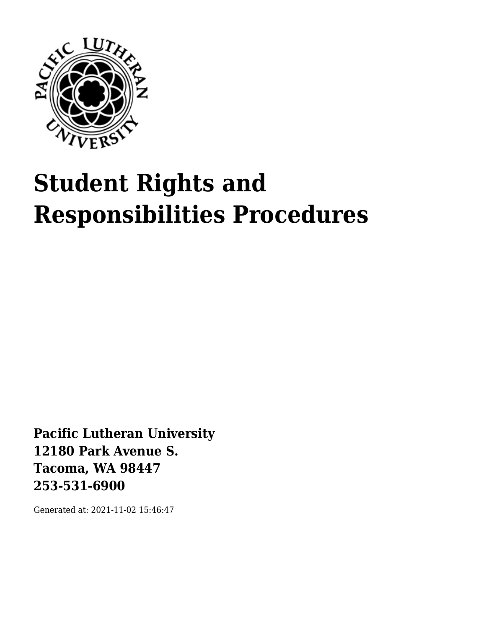

# **Student Rights and Responsibilities Procedures**

**Pacific Lutheran University 12180 Park Avenue S. Tacoma, WA 98447 253-531-6900**

Generated at: 2021-11-02 15:46:47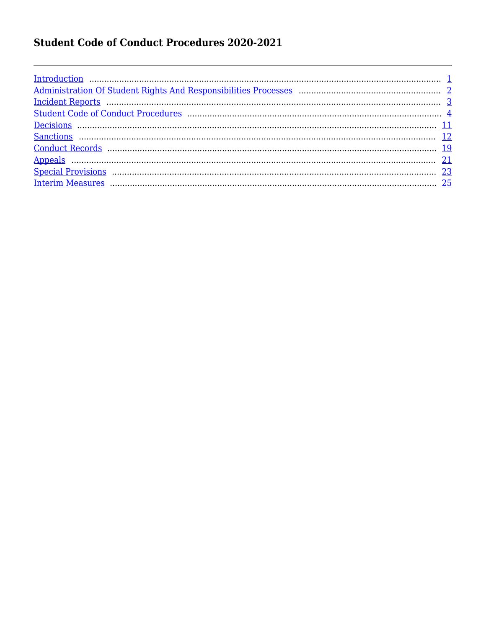### **Student Code of Conduct Procedures 2020-2021**

| $\underline{Introduction}$ |  |
|----------------------------|--|
|                            |  |
|                            |  |
|                            |  |
|                            |  |
|                            |  |
|                            |  |
|                            |  |
|                            |  |
|                            |  |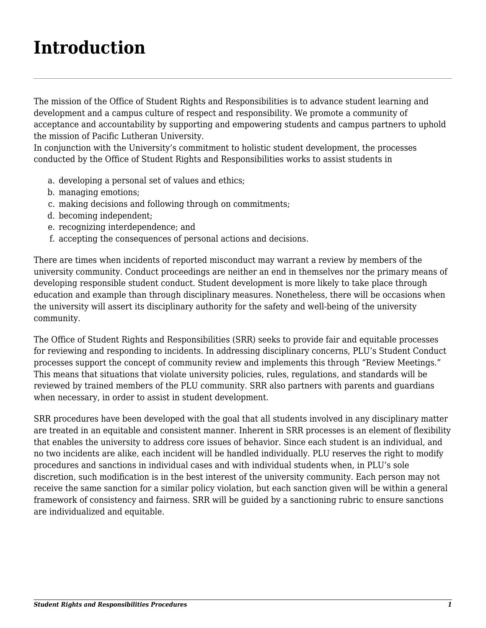### <span id="page-2-0"></span>**Introduction**

The mission of the Office of Student Rights and Responsibilities is to advance student learning and development and a campus culture of respect and responsibility. We promote a community of acceptance and accountability by supporting and empowering students and campus partners to uphold the mission of Pacific Lutheran University.

In conjunction with the University's commitment to holistic student development, the processes conducted by the Office of Student Rights and Responsibilities works to assist students in

- a. developing a personal set of values and ethics;
- b. managing emotions;
- c. making decisions and following through on commitments;
- d. becoming independent;
- e. recognizing interdependence; and
- f. accepting the consequences of personal actions and decisions.

There are times when incidents of reported misconduct may warrant a review by members of the university community. Conduct proceedings are neither an end in themselves nor the primary means of developing responsible student conduct. Student development is more likely to take place through education and example than through disciplinary measures. Nonetheless, there will be occasions when the university will assert its disciplinary authority for the safety and well-being of the university community.

The Office of Student Rights and Responsibilities (SRR) seeks to provide fair and equitable processes for reviewing and responding to incidents. In addressing disciplinary concerns, PLU's Student Conduct processes support the concept of community review and implements this through "Review Meetings." This means that situations that violate university policies, rules, regulations, and standards will be reviewed by trained members of the PLU community. SRR also partners with parents and guardians when necessary, in order to assist in student development.

SRR procedures have been developed with the goal that all students involved in any disciplinary matter are treated in an equitable and consistent manner. Inherent in SRR processes is an element of flexibility that enables the university to address core issues of behavior. Since each student is an individual, and no two incidents are alike, each incident will be handled individually. PLU reserves the right to modify procedures and sanctions in individual cases and with individual students when, in PLU's sole discretion, such modification is in the best interest of the university community. Each person may not receive the same sanction for a similar policy violation, but each sanction given will be within a general framework of consistency and fairness. SRR will be guided by a sanctioning rubric to ensure sanctions are individualized and equitable.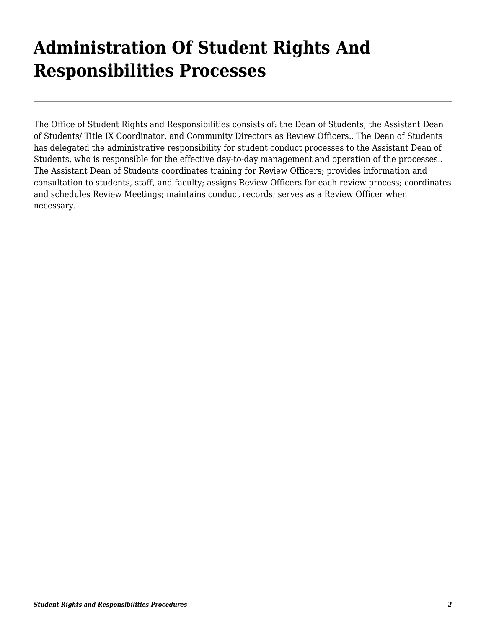### <span id="page-3-0"></span>**Administration Of Student Rights And Responsibilities Processes**

The Office of Student Rights and Responsibilities consists of: the Dean of Students, the Assistant Dean of Students/ Title IX Coordinator, and Community Directors as Review Officers.. The Dean of Students has delegated the administrative responsibility for student conduct processes to the Assistant Dean of Students, who is responsible for the effective day-to-day management and operation of the processes.. The Assistant Dean of Students coordinates training for Review Officers; provides information and consultation to students, staff, and faculty; assigns Review Officers for each review process; coordinates and schedules Review Meetings; maintains conduct records; serves as a Review Officer when necessary.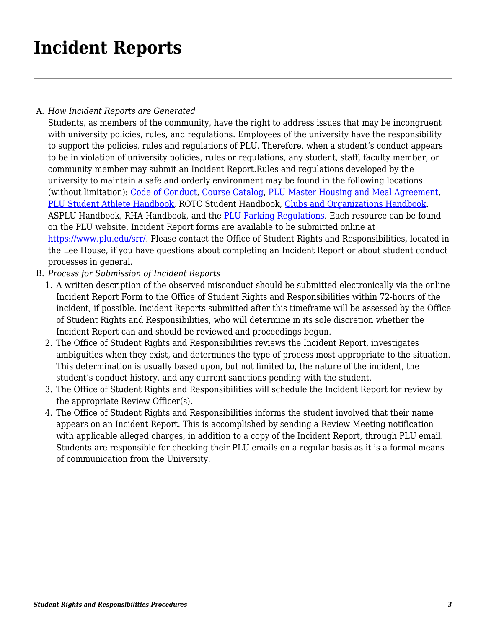### <span id="page-4-0"></span>**Incident Reports**

#### A. *How Incident Reports are Generated*

Students, as members of the community, have the right to address issues that may be incongruent with university policies, rules, and regulations. Employees of the university have the responsibility to support the policies, rules and regulations of PLU. Therefore, when a student's conduct appears to be in violation of university policies, rules or regulations, any student, staff, faculty member, or community member may submit an Incident Report.Rules and regulations developed by the university to maintain a safe and orderly environment may be found in the following locations (without limitation): [Code of Conduct](https://www.plu.edu/student-code-of-conduct/), [Course Catalog](https://www.plu.edu/catalog/), [PLU Master Housing and Meal Agreement](https://www.plu.edu/residential-life/documents/), [PLU Student Athlete Handbook](https://golutes.com/documents/2018/5/21/17_18_Student_Athlete_Handbook.pdf), ROTC Student Handbook, [Clubs and Organizations Handbook](https://www.plu.edu/student-club-organization-handbook/), ASPLU Handbook, RHA Handbook, and the **PLU Parking Regulations**. Each resource can be found on the PLU website. Incident Report forms are available to be submitted online at [https://www.plu.edu/srr/.](https://www.plu.edu/srr/) Please contact the Office of Student Rights and Responsibilities, located in the Lee House, if you have questions about completing an Incident Report or about student conduct processes in general.

- B. *Process for Submission of Incident Reports*
	- 1. A written description of the observed misconduct should be submitted electronically via the online Incident Report Form to the Office of Student Rights and Responsibilities within 72-hours of the incident, if possible. Incident Reports submitted after this timeframe will be assessed by the Office of Student Rights and Responsibilities, who will determine in its sole discretion whether the Incident Report can and should be reviewed and proceedings begun.
	- 2. The Office of Student Rights and Responsibilities reviews the Incident Report, investigates ambiguities when they exist, and determines the type of process most appropriate to the situation. This determination is usually based upon, but not limited to, the nature of the incident, the student's conduct history, and any current sanctions pending with the student.
	- 3. The Office of Student Rights and Responsibilities will schedule the Incident Report for review by the appropriate Review Officer(s).
	- 4. The Office of Student Rights and Responsibilities informs the student involved that their name appears on an Incident Report. This is accomplished by sending a Review Meeting notification with applicable alleged charges, in addition to a copy of the Incident Report, through PLU email. Students are responsible for checking their PLU emails on a regular basis as it is a formal means of communication from the University.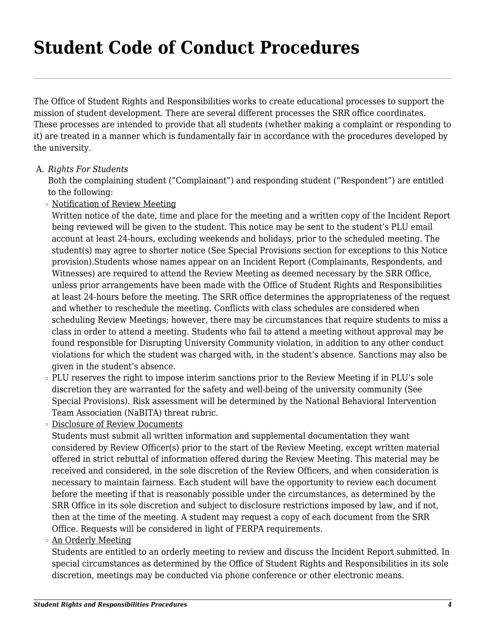### <span id="page-5-0"></span>**Student Code of Conduct Procedures**

The Office of Student Rights and Responsibilities works to create educational processes to support the mission of student development. There are several different processes the SRR office coordinates. These processes are intended to provide that all students (whether making a complaint or responding to it) are treated in a manner which is fundamentally fair in accordance with the procedures developed by the university.

#### A. *Rights For Students*

Both the complaining student ("Complainant") and responding student ("Respondent") are entitled to the following:

❍ Notification of Review Meeting

Written notice of the date, time and place for the meeting and a written copy of the Incident Report being reviewed will be given to the student. This notice may be sent to the student's PLU email account at least 24-hours, excluding weekends and holidays, prior to the scheduled meeting. The student(s) may agree to shorter notice (See Special Provisions section for exceptions to this Notice provision).Students whose names appear on an Incident Report (Complainants, Respondents, and Witnesses) are required to attend the Review Meeting as deemed necessary by the SRR Office, unless prior arrangements have been made with the Office of Student Rights and Responsibilities at least 24-hours before the meeting. The SRR office determines the appropriateness of the request and whether to reschedule the meeting. Conflicts with class schedules are considered when scheduling Review Meetings; however, there may be circumstances that require students to miss a class in order to attend a meeting. Students who fail to attend a meeting without approval may be found responsible for Disrupting University Community violation, in addition to any other conduct violations for which the student was charged with, in the student's absence. Sanctions may also be given in the student's absence.

- ❍ PLU reserves the right to impose interim sanctions prior to the Review Meeting if in PLU's sole discretion they are warranted for the safety and well-being of the university community (See Special Provisions). Risk assessment will be determined by the National Behavioral Intervention Team Association (NaBITA) threat rubric.
- ❍ Disclosure of Review Documents

Students must submit all written information and supplemental documentation they want considered by Review Officer(s) prior to the start of the Review Meeting, except written material offered in strict rebuttal of information offered during the Review Meeting. This material may be received and considered, in the sole discretion of the Review Officers, and when consideration is necessary to maintain fairness. Each student will have the opportunity to review each document before the meeting if that is reasonably possible under the circumstances, as determined by the SRR Office in its sole discretion and subject to disclosure restrictions imposed by law, and if not, then at the time of the meeting. A student may request a copy of each document from the SRR Office. Requests will be considered in light of FERPA requirements.

#### ❍ An Orderly Meeting

Students are entitled to an orderly meeting to review and discuss the Incident Report submitted. In special circumstances as determined by the Office of Student Rights and Responsibilities in its sole discretion, meetings may be conducted via phone conference or other electronic means.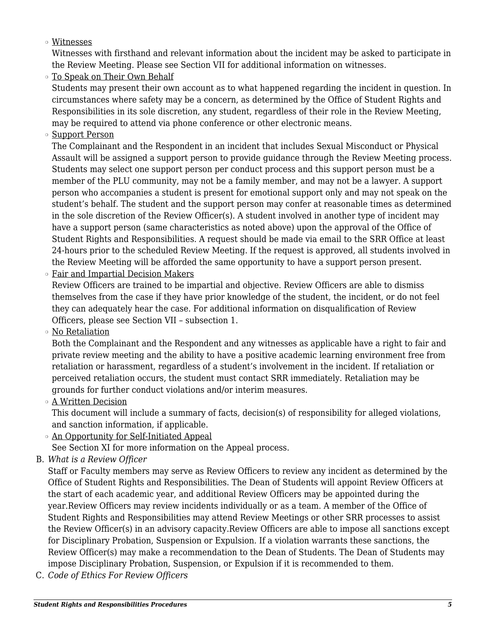❍ Witnesses

Witnesses with firsthand and relevant information about the incident may be asked to participate in the Review Meeting. Please see Section VII for additional information on witnesses.

 $\circ$  To Speak on Their Own Behalf

Students may present their own account as to what happened regarding the incident in question. In circumstances where safety may be a concern, as determined by the Office of Student Rights and Responsibilities in its sole discretion, any student, regardless of their role in the Review Meeting, may be required to attend via phone conference or other electronic means.

o Support Person

The Complainant and the Respondent in an incident that includes Sexual Misconduct or Physical Assault will be assigned a support person to provide guidance through the Review Meeting process. Students may select one support person per conduct process and this support person must be a member of the PLU community, may not be a family member, and may not be a lawyer. A support person who accompanies a student is present for emotional support only and may not speak on the student's behalf. The student and the support person may confer at reasonable times as determined in the sole discretion of the Review Officer(s). A student involved in another type of incident may have a support person (same characteristics as noted above) upon the approval of the Office of Student Rights and Responsibilities. A request should be made via email to the SRR Office at least 24-hours prior to the scheduled Review Meeting. If the request is approved, all students involved in the Review Meeting will be afforded the same opportunity to have a support person present.

❍ Fair and Impartial Decision Makers

Review Officers are trained to be impartial and objective. Review Officers are able to dismiss themselves from the case if they have prior knowledge of the student, the incident, or do not feel they can adequately hear the case. For additional information on disqualification of Review Officers, please see Section VII – subsection 1.

❍ No Retaliation

Both the Complainant and the Respondent and any witnesses as applicable have a right to fair and private review meeting and the ability to have a positive academic learning environment free from retaliation or harassment, regardless of a student's involvement in the incident. If retaliation or perceived retaliation occurs, the student must contact SRR immediately. Retaliation may be grounds for further conduct violations and/or interim measures.

❍ A Written Decision

This document will include a summary of facts, decision(s) of responsibility for alleged violations, and sanction information, if applicable.

 $\circ$  An Opportunity for Self-Initiated Appeal

See Section XI for more information on the Appeal process.

B. *What is a Review Officer*

Staff or Faculty members may serve as Review Officers to review any incident as determined by the Office of Student Rights and Responsibilities. The Dean of Students will appoint Review Officers at the start of each academic year, and additional Review Officers may be appointed during the year.Review Officers may review incidents individually or as a team. A member of the Office of Student Rights and Responsibilities may attend Review Meetings or other SRR processes to assist the Review Officer(s) in an advisory capacity.Review Officers are able to impose all sanctions except for Disciplinary Probation, Suspension or Expulsion. If a violation warrants these sanctions, the Review Officer(s) may make a recommendation to the Dean of Students. The Dean of Students may impose Disciplinary Probation, Suspension, or Expulsion if it is recommended to them.

C. *Code of Ethics For Review Officers*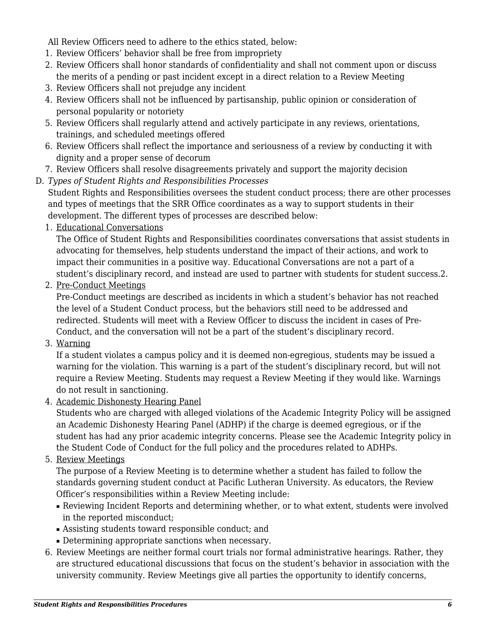All Review Officers need to adhere to the ethics stated, below:

- 1. Review Officers' behavior shall be free from impropriety
- 2. Review Officers shall honor standards of confidentiality and shall not comment upon or discuss the merits of a pending or past incident except in a direct relation to a Review Meeting
- 3. Review Officers shall not prejudge any incident
- 4. Review Officers shall not be influenced by partisanship, public opinion or consideration of personal popularity or notoriety
- 5. Review Officers shall regularly attend and actively participate in any reviews, orientations, trainings, and scheduled meetings offered
- 6. Review Officers shall reflect the importance and seriousness of a review by conducting it with dignity and a proper sense of decorum
- 7. Review Officers shall resolve disagreements privately and support the majority decision
- D. *Types of Student Rights and Responsibilities Processes*

Student Rights and Responsibilities oversees the student conduct process; there are other processes and types of meetings that the SRR Office coordinates as a way to support students in their development. The different types of processes are described below:

1. Educational Conversations

The Office of Student Rights and Responsibilities coordinates conversations that assist students in advocating for themselves, help students understand the impact of their actions, and work to impact their communities in a positive way. Educational Conversations are not a part of a student's disciplinary record, and instead are used to partner with students for student success.2.

2. Pre-Conduct Meetings

Pre-Conduct meetings are described as incidents in which a student's behavior has not reached the level of a Student Conduct process, but the behaviors still need to be addressed and redirected. Students will meet with a Review Officer to discuss the incident in cases of Pre-Conduct, and the conversation will not be a part of the student's disciplinary record.

3. Warning

If a student violates a campus policy and it is deemed non-egregious, students may be issued a warning for the violation. This warning is a part of the student's disciplinary record, but will not require a Review Meeting. Students may request a Review Meeting if they would like. Warnings do not result in sanctioning.

4. Academic Dishonesty Hearing Panel

Students who are charged with alleged violations of the Academic Integrity Policy will be assigned an Academic Dishonesty Hearing Panel (ADHP) if the charge is deemed egregious, or if the student has had any prior academic integrity concerns. Please see the Academic Integrity policy in the Student Code of Conduct for the full policy and the procedures related to ADHPs.

5. Review Meetings

The purpose of a Review Meeting is to determine whether a student has failed to follow the standards governing student conduct at Pacific Lutheran University. As educators, the Review Officer's responsibilities within a Review Meeting include:

- Reviewing Incident Reports and determining whether, or to what extent, students were involved in the reported misconduct;
- Assisting students toward responsible conduct; and
- Determining appropriate sanctions when necessary.
- 6. Review Meetings are neither formal court trials nor formal administrative hearings. Rather, they are structured educational discussions that focus on the student's behavior in association with the university community. Review Meetings give all parties the opportunity to identify concerns,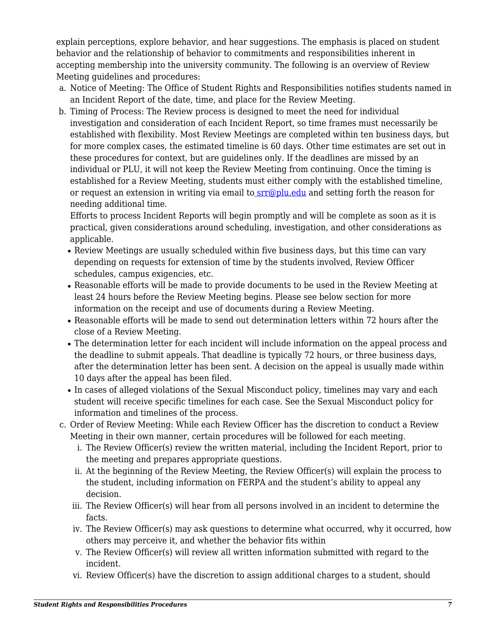explain perceptions, explore behavior, and hear suggestions. The emphasis is placed on student behavior and the relationship of behavior to commitments and responsibilities inherent in accepting membership into the university community. The following is an overview of Review Meeting guidelines and procedures:

- a. Notice of Meeting: The Office of Student Rights and Responsibilities notifies students named in an Incident Report of the date, time, and place for the Review Meeting.
- b. Timing of Process: The Review process is designed to meet the need for individual investigation and consideration of each Incident Report, so time frames must necessarily be established with flexibility. Most Review Meetings are completed within ten business days, but for more complex cases, the estimated timeline is 60 days. Other time estimates are set out in these procedures for context, but are guidelines only. If the deadlines are missed by an individual or PLU, it will not keep the Review Meeting from continuing. Once the timing is established for a Review Meeting, students must either comply with the established timeline, or request an extension in writing via email to **srr**@plu.edu and setting forth the reason for needing additional time.

Efforts to process Incident Reports will begin promptly and will be complete as soon as it is practical, given considerations around scheduling, investigation, and other considerations as applicable.

- Review Meetings are usually scheduled within five business days, but this time can vary depending on requests for extension of time by the students involved, Review Officer schedules, campus exigencies, etc.
- Reasonable efforts will be made to provide documents to be used in the Review Meeting at least 24 hours before the Review Meeting begins. Please see below section for more information on the receipt and use of documents during a Review Meeting.
- Reasonable efforts will be made to send out determination letters within 72 hours after the close of a Review Meeting.
- The determination letter for each incident will include information on the appeal process and the deadline to submit appeals. That deadline is typically 72 hours, or three business days, after the determination letter has been sent. A decision on the appeal is usually made within 10 days after the appeal has been filed.
- In cases of alleged violations of the Sexual Misconduct policy, timelines may vary and each student will receive specific timelines for each case. See the Sexual Misconduct policy for information and timelines of the process.
- c. Order of Review Meeting: While each Review Officer has the discretion to conduct a Review Meeting in their own manner, certain procedures will be followed for each meeting.
	- i. The Review Officer(s) review the written material, including the Incident Report, prior to the meeting and prepares appropriate questions.
	- ii. At the beginning of the Review Meeting, the Review Officer(s) will explain the process to the student, including information on FERPA and the student's ability to appeal any decision.
	- iii. The Review Officer(s) will hear from all persons involved in an incident to determine the facts.
	- iv. The Review Officer(s) may ask questions to determine what occurred, why it occurred, how others may perceive it, and whether the behavior fits within
	- v. The Review Officer(s) will review all written information submitted with regard to the incident.
	- vi. Review Officer(s) have the discretion to assign additional charges to a student, should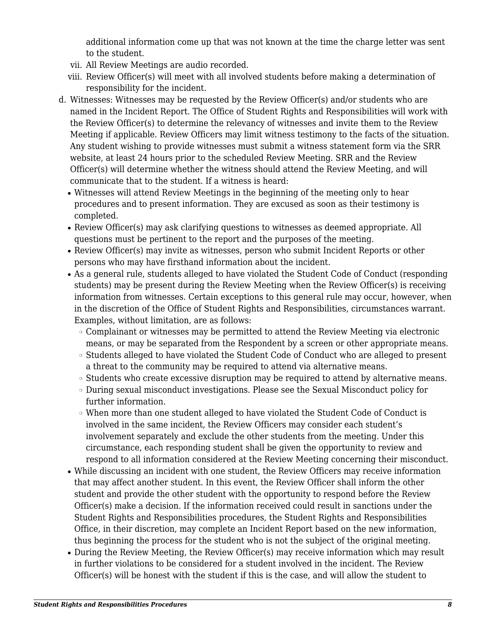additional information come up that was not known at the time the charge letter was sent to the student.

- vii. All Review Meetings are audio recorded.
- viii. Review Officer(s) will meet with all involved students before making a determination of responsibility for the incident.
- d. Witnesses: Witnesses may be requested by the Review Officer(s) and/or students who are named in the Incident Report. The Office of Student Rights and Responsibilities will work with the Review Officer(s) to determine the relevancy of witnesses and invite them to the Review Meeting if applicable. Review Officers may limit witness testimony to the facts of the situation. Any student wishing to provide witnesses must submit a witness statement form via the SRR website, at least 24 hours prior to the scheduled Review Meeting. SRR and the Review Officer(s) will determine whether the witness should attend the Review Meeting, and will communicate that to the student. If a witness is heard:
	- Witnesses will attend Review Meetings in the beginning of the meeting only to hear procedures and to present information. They are excused as soon as their testimony is completed.
	- Review Officer(s) may ask clarifying questions to witnesses as deemed appropriate. All questions must be pertinent to the report and the purposes of the meeting.
	- Review Officer(s) may invite as witnesses, person who submit Incident Reports or other persons who may have firsthand information about the incident.
	- As a general rule, students alleged to have violated the Student Code of Conduct (responding students) may be present during the Review Meeting when the Review Officer(s) is receiving information from witnesses. Certain exceptions to this general rule may occur, however, when in the discretion of the Office of Student Rights and Responsibilities, circumstances warrant. Examples, without limitation, are as follows:
		- ❍ Complainant or witnesses may be permitted to attend the Review Meeting via electronic means, or may be separated from the Respondent by a screen or other appropriate means.
		- ❍ Students alleged to have violated the Student Code of Conduct who are alleged to present a threat to the community may be required to attend via alternative means.
		- ❍ Students who create excessive disruption may be required to attend by alternative means.
		- ❍ During sexual misconduct investigations. Please see the Sexual Misconduct policy for further information.
		- ❍ When more than one student alleged to have violated the Student Code of Conduct is involved in the same incident, the Review Officers may consider each student's involvement separately and exclude the other students from the meeting. Under this circumstance, each responding student shall be given the opportunity to review and respond to all information considered at the Review Meeting concerning their misconduct.
	- While discussing an incident with one student, the Review Officers may receive information that may affect another student. In this event, the Review Officer shall inform the other student and provide the other student with the opportunity to respond before the Review Officer(s) make a decision. If the information received could result in sanctions under the Student Rights and Responsibilities procedures, the Student Rights and Responsibilities Office, in their discretion, may complete an Incident Report based on the new information, thus beginning the process for the student who is not the subject of the original meeting.
	- During the Review Meeting, the Review Officer(s) may receive information which may result in further violations to be considered for a student involved in the incident. The Review Officer(s) will be honest with the student if this is the case, and will allow the student to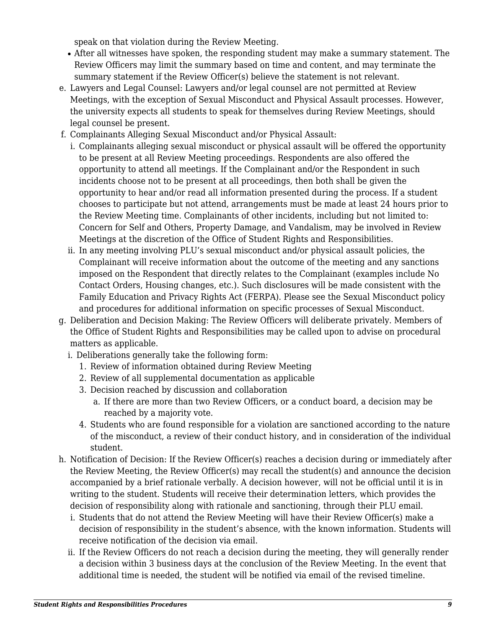speak on that violation during the Review Meeting.

- After all witnesses have spoken, the responding student may make a summary statement. The Review Officers may limit the summary based on time and content, and may terminate the summary statement if the Review Officer(s) believe the statement is not relevant.
- e. Lawyers and Legal Counsel: Lawyers and/or legal counsel are not permitted at Review Meetings, with the exception of Sexual Misconduct and Physical Assault processes. However, the university expects all students to speak for themselves during Review Meetings, should legal counsel be present.
- f. Complainants Alleging Sexual Misconduct and/or Physical Assault:
	- i. Complainants alleging sexual misconduct or physical assault will be offered the opportunity to be present at all Review Meeting proceedings. Respondents are also offered the opportunity to attend all meetings. If the Complainant and/or the Respondent in such incidents choose not to be present at all proceedings, then both shall be given the opportunity to hear and/or read all information presented during the process. If a student chooses to participate but not attend, arrangements must be made at least 24 hours prior to the Review Meeting time. Complainants of other incidents, including but not limited to: Concern for Self and Others, Property Damage, and Vandalism, may be involved in Review Meetings at the discretion of the Office of Student Rights and Responsibilities.
	- ii. In any meeting involving PLU's sexual misconduct and/or physical assault policies, the Complainant will receive information about the outcome of the meeting and any sanctions imposed on the Respondent that directly relates to the Complainant (examples include No Contact Orders, Housing changes, etc.). Such disclosures will be made consistent with the Family Education and Privacy Rights Act (FERPA). Please see the Sexual Misconduct policy and procedures for additional information on specific processes of Sexual Misconduct.
- g. Deliberation and Decision Making: The Review Officers will deliberate privately. Members of the Office of Student Rights and Responsibilities may be called upon to advise on procedural matters as applicable.
	- i. Deliberations generally take the following form:
		- 1. Review of information obtained during Review Meeting
		- 2. Review of all supplemental documentation as applicable
		- 3. Decision reached by discussion and collaboration
			- a. If there are more than two Review Officers, or a conduct board, a decision may be reached by a majority vote.
		- 4. Students who are found responsible for a violation are sanctioned according to the nature of the misconduct, a review of their conduct history, and in consideration of the individual student.
- h. Notification of Decision: If the Review Officer(s) reaches a decision during or immediately after the Review Meeting, the Review Officer(s) may recall the student(s) and announce the decision accompanied by a brief rationale verbally. A decision however, will not be official until it is in writing to the student. Students will receive their determination letters, which provides the decision of responsibility along with rationale and sanctioning, through their PLU email.
	- i. Students that do not attend the Review Meeting will have their Review Officer(s) make a decision of responsibility in the student's absence, with the known information. Students will receive notification of the decision via email.
	- ii. If the Review Officers do not reach a decision during the meeting, they will generally render a decision within 3 business days at the conclusion of the Review Meeting. In the event that additional time is needed, the student will be notified via email of the revised timeline.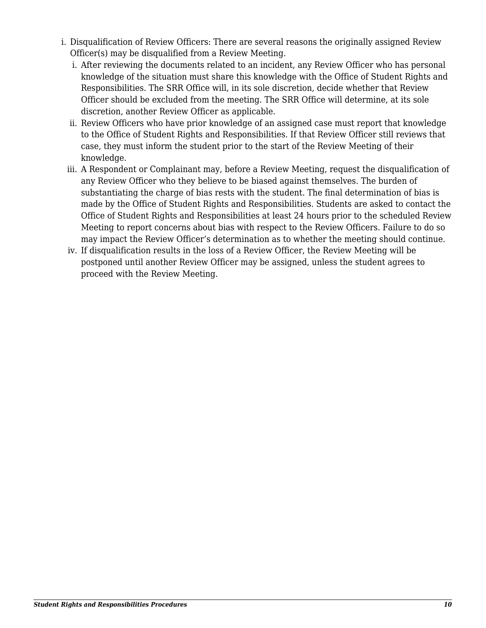- i. Disqualification of Review Officers: There are several reasons the originally assigned Review Officer(s) may be disqualified from a Review Meeting.
	- i. After reviewing the documents related to an incident, any Review Officer who has personal knowledge of the situation must share this knowledge with the Office of Student Rights and Responsibilities. The SRR Office will, in its sole discretion, decide whether that Review Officer should be excluded from the meeting. The SRR Office will determine, at its sole discretion, another Review Officer as applicable.
	- ii. Review Officers who have prior knowledge of an assigned case must report that knowledge to the Office of Student Rights and Responsibilities. If that Review Officer still reviews that case, they must inform the student prior to the start of the Review Meeting of their knowledge.
	- iii. A Respondent or Complainant may, before a Review Meeting, request the disqualification of any Review Officer who they believe to be biased against themselves. The burden of substantiating the charge of bias rests with the student. The final determination of bias is made by the Office of Student Rights and Responsibilities. Students are asked to contact the Office of Student Rights and Responsibilities at least 24 hours prior to the scheduled Review Meeting to report concerns about bias with respect to the Review Officers. Failure to do so may impact the Review Officer's determination as to whether the meeting should continue.
	- iv. If disqualification results in the loss of a Review Officer, the Review Meeting will be postponed until another Review Officer may be assigned, unless the student agrees to proceed with the Review Meeting.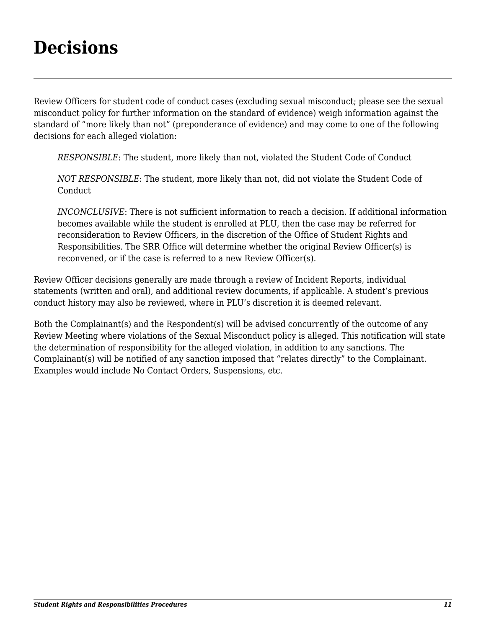### <span id="page-12-0"></span>**Decisions**

Review Officers for student code of conduct cases (excluding sexual misconduct; please see the sexual misconduct policy for further information on the standard of evidence) weigh information against the standard of "more likely than not" (preponderance of evidence) and may come to one of the following decisions for each alleged violation:

*RESPONSIBLE*: The student, more likely than not, violated the Student Code of Conduct

*NOT RESPONSIBLE*: The student, more likely than not, did not violate the Student Code of **Conduct** 

*INCONCLUSIVE*: There is not sufficient information to reach a decision. If additional information becomes available while the student is enrolled at PLU, then the case may be referred for reconsideration to Review Officers, in the discretion of the Office of Student Rights and Responsibilities. The SRR Office will determine whether the original Review Officer(s) is reconvened, or if the case is referred to a new Review Officer(s).

Review Officer decisions generally are made through a review of Incident Reports, individual statements (written and oral), and additional review documents, if applicable. A student's previous conduct history may also be reviewed, where in PLU's discretion it is deemed relevant.

Both the Complainant(s) and the Respondent(s) will be advised concurrently of the outcome of any Review Meeting where violations of the Sexual Misconduct policy is alleged. This notification will state the determination of responsibility for the alleged violation, in addition to any sanctions. The Complainant(s) will be notified of any sanction imposed that "relates directly" to the Complainant. Examples would include No Contact Orders, Suspensions, etc.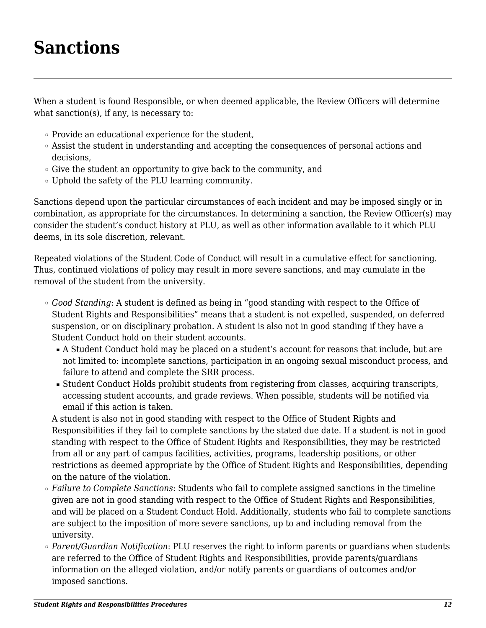### <span id="page-13-0"></span>**Sanctions**

When a student is found Responsible, or when deemed applicable, the Review Officers will determine what sanction(s), if any, is necessary to:

- ❍ Provide an educational experience for the student,
- ❍ Assist the student in understanding and accepting the consequences of personal actions and decisions,
- ❍ Give the student an opportunity to give back to the community, and
- ❍ Uphold the safety of the PLU learning community.

Sanctions depend upon the particular circumstances of each incident and may be imposed singly or in combination, as appropriate for the circumstances. In determining a sanction, the Review Officer(s) may consider the student's conduct history at PLU, as well as other information available to it which PLU deems, in its sole discretion, relevant.

Repeated violations of the Student Code of Conduct will result in a cumulative effect for sanctioning. Thus, continued violations of policy may result in more severe sanctions, and may cumulate in the removal of the student from the university.

- ❍ *Good Standing*: A student is defined as being in "good standing with respect to the Office of Student Rights and Responsibilities" means that a student is not expelled, suspended, on deferred suspension, or on disciplinary probation. A student is also not in good standing if they have a Student Conduct hold on their student accounts.
	- A Student Conduct hold may be placed on a student's account for reasons that include, but are not limited to: incomplete sanctions, participation in an ongoing sexual misconduct process, and failure to attend and complete the SRR process.
	- Student Conduct Holds prohibit students from registering from classes, acquiring transcripts, accessing student accounts, and grade reviews. When possible, students will be notified via email if this action is taken.

A student is also not in good standing with respect to the Office of Student Rights and Responsibilities if they fail to complete sanctions by the stated due date. If a student is not in good standing with respect to the Office of Student Rights and Responsibilities, they may be restricted from all or any part of campus facilities, activities, programs, leadership positions, or other restrictions as deemed appropriate by the Office of Student Rights and Responsibilities, depending on the nature of the violation.

- ❍ *Failure to Complete Sanctions*: Students who fail to complete assigned sanctions in the timeline given are not in good standing with respect to the Office of Student Rights and Responsibilities, and will be placed on a Student Conduct Hold. Additionally, students who fail to complete sanctions are subject to the imposition of more severe sanctions, up to and including removal from the university.
- ❍ *Parent/Guardian Notification*: PLU reserves the right to inform parents or guardians when students are referred to the Office of Student Rights and Responsibilities, provide parents/guardians information on the alleged violation, and/or notify parents or guardians of outcomes and/or imposed sanctions.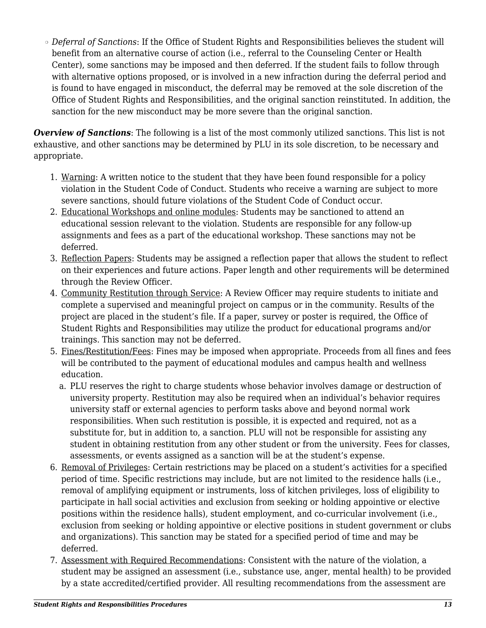❍ *Deferral of Sanctions*: If the Office of Student Rights and Responsibilities believes the student will benefit from an alternative course of action (i.e., referral to the Counseling Center or Health Center), some sanctions may be imposed and then deferred. If the student fails to follow through with alternative options proposed, or is involved in a new infraction during the deferral period and is found to have engaged in misconduct, the deferral may be removed at the sole discretion of the Office of Student Rights and Responsibilities, and the original sanction reinstituted. In addition, the sanction for the new misconduct may be more severe than the original sanction.

**Overview of Sanctions**: The following is a list of the most commonly utilized sanctions. This list is not exhaustive, and other sanctions may be determined by PLU in its sole discretion, to be necessary and appropriate.

- 1. Warning: A written notice to the student that they have been found responsible for a policy violation in the Student Code of Conduct. Students who receive a warning are subject to more severe sanctions, should future violations of the Student Code of Conduct occur.
- 2. Educational Workshops and online modules: Students may be sanctioned to attend an educational session relevant to the violation. Students are responsible for any follow-up assignments and fees as a part of the educational workshop. These sanctions may not be deferred.
- 3. Reflection Papers: Students may be assigned a reflection paper that allows the student to reflect on their experiences and future actions. Paper length and other requirements will be determined through the Review Officer.
- 4. Community Restitution through Service: A Review Officer may require students to initiate and complete a supervised and meaningful project on campus or in the community. Results of the project are placed in the student's file. If a paper, survey or poster is required, the Office of Student Rights and Responsibilities may utilize the product for educational programs and/or trainings. This sanction may not be deferred.
- 5. Fines/Restitution/Fees: Fines may be imposed when appropriate. Proceeds from all fines and fees will be contributed to the payment of educational modules and campus health and wellness education.
	- a. PLU reserves the right to charge students whose behavior involves damage or destruction of university property. Restitution may also be required when an individual's behavior requires university staff or external agencies to perform tasks above and beyond normal work responsibilities. When such restitution is possible, it is expected and required, not as a substitute for, but in addition to, a sanction. PLU will not be responsible for assisting any student in obtaining restitution from any other student or from the university. Fees for classes, assessments, or events assigned as a sanction will be at the student's expense.
- 6. Removal of Privileges: Certain restrictions may be placed on a student's activities for a specified period of time. Specific restrictions may include, but are not limited to the residence halls (i.e., removal of amplifying equipment or instruments, loss of kitchen privileges, loss of eligibility to participate in hall social activities and exclusion from seeking or holding appointive or elective positions within the residence halls), student employment, and co-curricular involvement (i.e., exclusion from seeking or holding appointive or elective positions in student government or clubs and organizations). This sanction may be stated for a specified period of time and may be deferred.
- 7. Assessment with Required Recommendations: Consistent with the nature of the violation, a student may be assigned an assessment (i.e., substance use, anger, mental health) to be provided by a state accredited/certified provider. All resulting recommendations from the assessment are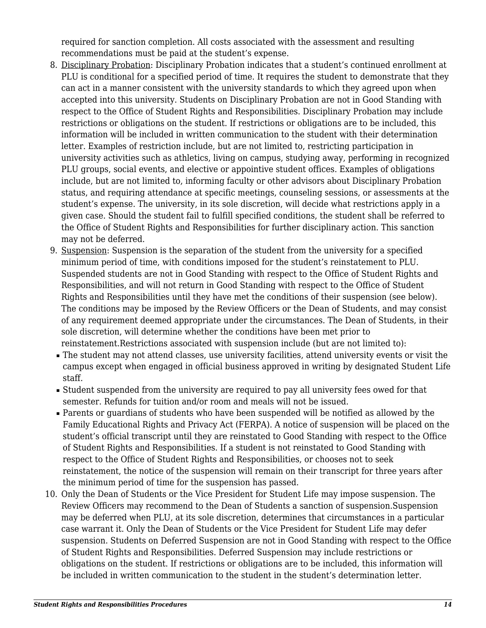required for sanction completion. All costs associated with the assessment and resulting recommendations must be paid at the student's expense.

- 8. Disciplinary Probation: Disciplinary Probation indicates that a student's continued enrollment at PLU is conditional for a specified period of time. It requires the student to demonstrate that they can act in a manner consistent with the university standards to which they agreed upon when accepted into this university. Students on Disciplinary Probation are not in Good Standing with respect to the Office of Student Rights and Responsibilities. Disciplinary Probation may include restrictions or obligations on the student. If restrictions or obligations are to be included, this information will be included in written communication to the student with their determination letter. Examples of restriction include, but are not limited to, restricting participation in university activities such as athletics, living on campus, studying away, performing in recognized PLU groups, social events, and elective or appointive student offices. Examples of obligations include, but are not limited to, informing faculty or other advisors about Disciplinary Probation status, and requiring attendance at specific meetings, counseling sessions, or assessments at the student's expense. The university, in its sole discretion, will decide what restrictions apply in a given case. Should the student fail to fulfill specified conditions, the student shall be referred to the Office of Student Rights and Responsibilities for further disciplinary action. This sanction may not be deferred.
- 9. Suspension: Suspension is the separation of the student from the university for a specified minimum period of time, with conditions imposed for the student's reinstatement to PLU. Suspended students are not in Good Standing with respect to the Office of Student Rights and Responsibilities, and will not return in Good Standing with respect to the Office of Student Rights and Responsibilities until they have met the conditions of their suspension (see below). The conditions may be imposed by the Review Officers or the Dean of Students, and may consist of any requirement deemed appropriate under the circumstances. The Dean of Students, in their sole discretion, will determine whether the conditions have been met prior to reinstatement.Restrictions associated with suspension include (but are not limited to):
	- The student may not attend classes, use university facilities, attend university events or visit the campus except when engaged in official business approved in writing by designated Student Life staff.
	- Student suspended from the university are required to pay all university fees owed for that semester. Refunds for tuition and/or room and meals will not be issued.
- Parents or guardians of students who have been suspended will be notified as allowed by the Family Educational Rights and Privacy Act (FERPA). A notice of suspension will be placed on the student's official transcript until they are reinstated to Good Standing with respect to the Office of Student Rights and Responsibilities. If a student is not reinstated to Good Standing with respect to the Office of Student Rights and Responsibilities, or chooses not to seek reinstatement, the notice of the suspension will remain on their transcript for three years after the minimum period of time for the suspension has passed.
- 10. Only the Dean of Students or the Vice President for Student Life may impose suspension. The Review Officers may recommend to the Dean of Students a sanction of suspension.Suspension may be deferred when PLU, at its sole discretion, determines that circumstances in a particular case warrant it. Only the Dean of Students or the Vice President for Student Life may defer suspension. Students on Deferred Suspension are not in Good Standing with respect to the Office of Student Rights and Responsibilities. Deferred Suspension may include restrictions or obligations on the student. If restrictions or obligations are to be included, this information will be included in written communication to the student in the student's determination letter.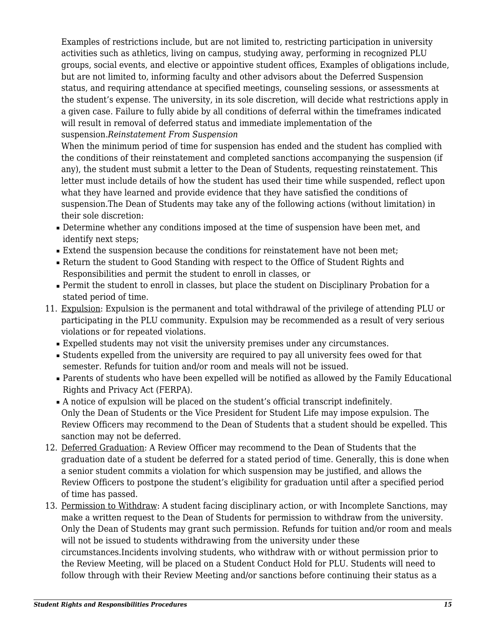Examples of restrictions include, but are not limited to, restricting participation in university activities such as athletics, living on campus, studying away, performing in recognized PLU groups, social events, and elective or appointive student offices, Examples of obligations include, but are not limited to, informing faculty and other advisors about the Deferred Suspension status, and requiring attendance at specified meetings, counseling sessions, or assessments at the student's expense. The university, in its sole discretion, will decide what restrictions apply in a given case. Failure to fully abide by all conditions of deferral within the timeframes indicated will result in removal of deferred status and immediate implementation of the suspension.*Reinstatement From Suspension*

When the minimum period of time for suspension has ended and the student has complied with the conditions of their reinstatement and completed sanctions accompanying the suspension (if any), the student must submit a letter to the Dean of Students, requesting reinstatement. This letter must include details of how the student has used their time while suspended, reflect upon what they have learned and provide evidence that they have satisfied the conditions of suspension.The Dean of Students may take any of the following actions (without limitation) in their sole discretion:

- Determine whether any conditions imposed at the time of suspension have been met, and identify next steps;
- Extend the suspension because the conditions for reinstatement have not been met;
- Return the student to Good Standing with respect to the Office of Student Rights and Responsibilities and permit the student to enroll in classes, or
- Permit the student to enroll in classes, but place the student on Disciplinary Probation for a stated period of time.
- 11. Expulsion: Expulsion is the permanent and total withdrawal of the privilege of attending PLU or participating in the PLU community. Expulsion may be recommended as a result of very serious violations or for repeated violations.
	- Expelled students may not visit the university premises under any circumstances.
	- Students expelled from the university are required to pay all university fees owed for that semester. Refunds for tuition and/or room and meals will not be issued.
	- Parents of students who have been expelled will be notified as allowed by the Family Educational Rights and Privacy Act (FERPA).
	- A notice of expulsion will be placed on the student's official transcript indefinitely. Only the Dean of Students or the Vice President for Student Life may impose expulsion. The Review Officers may recommend to the Dean of Students that a student should be expelled. This sanction may not be deferred.
- 12. Deferred Graduation: A Review Officer may recommend to the Dean of Students that the graduation date of a student be deferred for a stated period of time. Generally, this is done when a senior student commits a violation for which suspension may be justified, and allows the Review Officers to postpone the student's eligibility for graduation until after a specified period of time has passed.
- 13. Permission to Withdraw: A student facing disciplinary action, or with Incomplete Sanctions, may make a written request to the Dean of Students for permission to withdraw from the university. Only the Dean of Students may grant such permission. Refunds for tuition and/or room and meals will not be issued to students withdrawing from the university under these circumstances.Incidents involving students, who withdraw with or without permission prior to the Review Meeting, will be placed on a Student Conduct Hold for PLU. Students will need to follow through with their Review Meeting and/or sanctions before continuing their status as a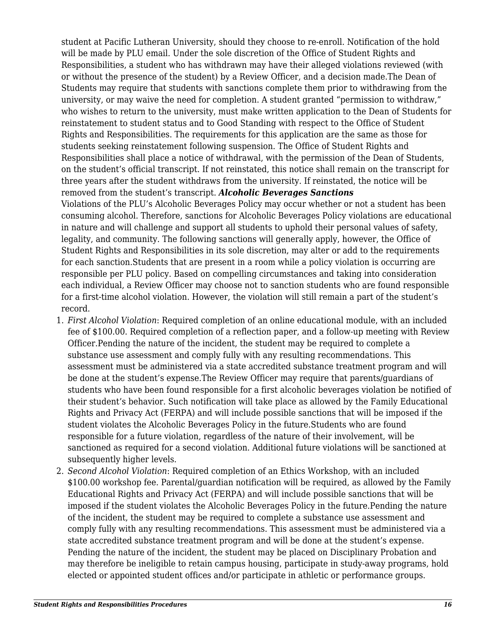student at Pacific Lutheran University, should they choose to re-enroll. Notification of the hold will be made by PLU email. Under the sole discretion of the Office of Student Rights and Responsibilities, a student who has withdrawn may have their alleged violations reviewed (with or without the presence of the student) by a Review Officer, and a decision made.The Dean of Students may require that students with sanctions complete them prior to withdrawing from the university, or may waive the need for completion. A student granted "permission to withdraw," who wishes to return to the university, must make written application to the Dean of Students for reinstatement to student status and to Good Standing with respect to the Office of Student Rights and Responsibilities. The requirements for this application are the same as those for students seeking reinstatement following suspension. The Office of Student Rights and Responsibilities shall place a notice of withdrawal, with the permission of the Dean of Students, on the student's official transcript. If not reinstated, this notice shall remain on the transcript for three years after the student withdraws from the university. If reinstated, the notice will be removed from the student's transcript. *Alcoholic Beverages Sanctions* Violations of the PLU's Alcoholic Beverages Policy may occur whether or not a student has been consuming alcohol. Therefore, sanctions for Alcoholic Beverages Policy violations are educational in nature and will challenge and support all students to uphold their personal values of safety, legality, and community. The following sanctions will generally apply, however, the Office of

Student Rights and Responsibilities in its sole discretion, may alter or add to the requirements for each sanction.Students that are present in a room while a policy violation is occurring are responsible per PLU policy. Based on compelling circumstances and taking into consideration each individual, a Review Officer may choose not to sanction students who are found responsible for a first-time alcohol violation. However, the violation will still remain a part of the student's record.

- 1. *First Alcohol Violation*: Required completion of an online educational module, with an included fee of \$100.00. Required completion of a reflection paper, and a follow-up meeting with Review Officer.Pending the nature of the incident, the student may be required to complete a substance use assessment and comply fully with any resulting recommendations. This assessment must be administered via a state accredited substance treatment program and will be done at the student's expense.The Review Officer may require that parents/guardians of students who have been found responsible for a first alcoholic beverages violation be notified of their student's behavior. Such notification will take place as allowed by the Family Educational Rights and Privacy Act (FERPA) and will include possible sanctions that will be imposed if the student violates the Alcoholic Beverages Policy in the future.Students who are found responsible for a future violation, regardless of the nature of their involvement, will be sanctioned as required for a second violation. Additional future violations will be sanctioned at subsequently higher levels.
- 2. *Second Alcohol Violation*: Required completion of an Ethics Workshop, with an included \$100.00 workshop fee. Parental/guardian notification will be required, as allowed by the Family Educational Rights and Privacy Act (FERPA) and will include possible sanctions that will be imposed if the student violates the Alcoholic Beverages Policy in the future.Pending the nature of the incident, the student may be required to complete a substance use assessment and comply fully with any resulting recommendations. This assessment must be administered via a state accredited substance treatment program and will be done at the student's expense. Pending the nature of the incident, the student may be placed on Disciplinary Probation and may therefore be ineligible to retain campus housing, participate in study-away programs, hold elected or appointed student offices and/or participate in athletic or performance groups.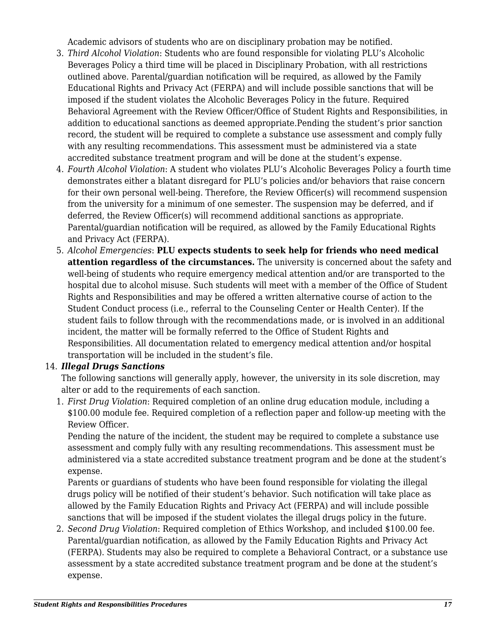Academic advisors of students who are on disciplinary probation may be notified.

- 3. *Third Alcohol Violation*: Students who are found responsible for violating PLU's Alcoholic Beverages Policy a third time will be placed in Disciplinary Probation, with all restrictions outlined above. Parental/guardian notification will be required, as allowed by the Family Educational Rights and Privacy Act (FERPA) and will include possible sanctions that will be imposed if the student violates the Alcoholic Beverages Policy in the future. Required Behavioral Agreement with the Review Officer/Office of Student Rights and Responsibilities, in addition to educational sanctions as deemed appropriate.Pending the student's prior sanction record, the student will be required to complete a substance use assessment and comply fully with any resulting recommendations. This assessment must be administered via a state accredited substance treatment program and will be done at the student's expense.
- 4. *Fourth Alcohol Violation*: A student who violates PLU's Alcoholic Beverages Policy a fourth time demonstrates either a blatant disregard for PLU's policies and/or behaviors that raise concern for their own personal well-being. Therefore, the Review Officer(s) will recommend suspension from the university for a minimum of one semester. The suspension may be deferred, and if deferred, the Review Officer(s) will recommend additional sanctions as appropriate. Parental/guardian notification will be required, as allowed by the Family Educational Rights and Privacy Act (FERPA).
- 5. *Alcohol Emergencies*: **PLU expects students to seek help for friends who need medical attention regardless of the circumstances.** The university is concerned about the safety and well-being of students who require emergency medical attention and/or are transported to the hospital due to alcohol misuse. Such students will meet with a member of the Office of Student Rights and Responsibilities and may be offered a written alternative course of action to the Student Conduct process (i.e., referral to the Counseling Center or Health Center). If the student fails to follow through with the recommendations made, or is involved in an additional incident, the matter will be formally referred to the Office of Student Rights and Responsibilities. All documentation related to emergency medical attention and/or hospital transportation will be included in the student's file.

#### 14. *Illegal Drugs Sanctions*

The following sanctions will generally apply, however, the university in its sole discretion, may alter or add to the requirements of each sanction.

1. *First Drug Violation*: Required completion of an online drug education module, including a \$100.00 module fee. Required completion of a reflection paper and follow-up meeting with the Review Officer.

Pending the nature of the incident, the student may be required to complete a substance use assessment and comply fully with any resulting recommendations. This assessment must be administered via a state accredited substance treatment program and be done at the student's expense.

Parents or guardians of students who have been found responsible for violating the illegal drugs policy will be notified of their student's behavior. Such notification will take place as allowed by the Family Education Rights and Privacy Act (FERPA) and will include possible sanctions that will be imposed if the student violates the illegal drugs policy in the future.

2. *Second Drug Violation*: Required completion of Ethics Workshop, and included \$100.00 fee. Parental/guardian notification, as allowed by the Family Education Rights and Privacy Act (FERPA). Students may also be required to complete a Behavioral Contract, or a substance use assessment by a state accredited substance treatment program and be done at the student's expense.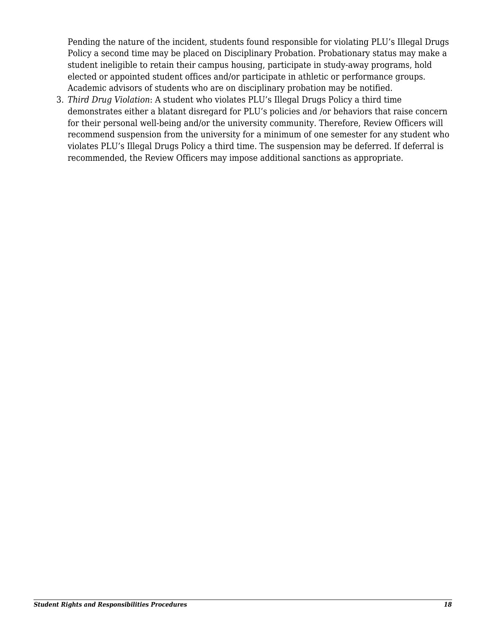Pending the nature of the incident, students found responsible for violating PLU's Illegal Drugs Policy a second time may be placed on Disciplinary Probation. Probationary status may make a student ineligible to retain their campus housing, participate in study-away programs, hold elected or appointed student offices and/or participate in athletic or performance groups. Academic advisors of students who are on disciplinary probation may be notified.

3. *Third Drug Violation*: A student who violates PLU's Illegal Drugs Policy a third time demonstrates either a blatant disregard for PLU's policies and /or behaviors that raise concern for their personal well-being and/or the university community. Therefore, Review Officers will recommend suspension from the university for a minimum of one semester for any student who violates PLU's Illegal Drugs Policy a third time. The suspension may be deferred. If deferral is recommended, the Review Officers may impose additional sanctions as appropriate.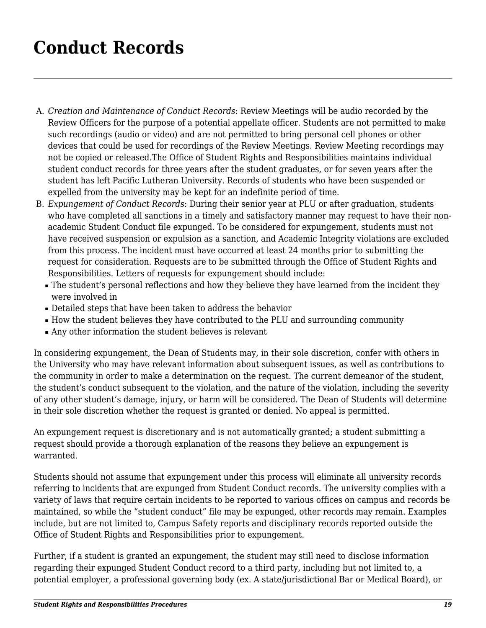### <span id="page-20-0"></span>**Conduct Records**

- A. *Creation and Maintenance of Conduct Records*: Review Meetings will be audio recorded by the Review Officers for the purpose of a potential appellate officer. Students are not permitted to make such recordings (audio or video) and are not permitted to bring personal cell phones or other devices that could be used for recordings of the Review Meetings. Review Meeting recordings may not be copied or released.The Office of Student Rights and Responsibilities maintains individual student conduct records for three years after the student graduates, or for seven years after the student has left Pacific Lutheran University. Records of students who have been suspended or expelled from the university may be kept for an indefinite period of time.
- B. *Expungement of Conduct Records*: During their senior year at PLU or after graduation, students who have completed all sanctions in a timely and satisfactory manner may request to have their nonacademic Student Conduct file expunged. To be considered for expungement, students must not have received suspension or expulsion as a sanction, and Academic Integrity violations are excluded from this process. The incident must have occurred at least 24 months prior to submitting the request for consideration. Requests are to be submitted through the Office of Student Rights and Responsibilities. Letters of requests for expungement should include:
	- The student's personal reflections and how they believe they have learned from the incident they were involved in
	- Detailed steps that have been taken to address the behavior
	- How the student believes they have contributed to the PLU and surrounding community
	- Any other information the student believes is relevant

In considering expungement, the Dean of Students may, in their sole discretion, confer with others in the University who may have relevant information about subsequent issues, as well as contributions to the community in order to make a determination on the request. The current demeanor of the student, the student's conduct subsequent to the violation, and the nature of the violation, including the severity of any other student's damage, injury, or harm will be considered. The Dean of Students will determine in their sole discretion whether the request is granted or denied. No appeal is permitted.

An expungement request is discretionary and is not automatically granted; a student submitting a request should provide a thorough explanation of the reasons they believe an expungement is warranted.

Students should not assume that expungement under this process will eliminate all university records referring to incidents that are expunged from Student Conduct records. The university complies with a variety of laws that require certain incidents to be reported to various offices on campus and records be maintained, so while the "student conduct" file may be expunged, other records may remain. Examples include, but are not limited to, Campus Safety reports and disciplinary records reported outside the Office of Student Rights and Responsibilities prior to expungement.

Further, if a student is granted an expungement, the student may still need to disclose information regarding their expunged Student Conduct record to a third party, including but not limited to, a potential employer, a professional governing body (ex. A state/jurisdictional Bar or Medical Board), or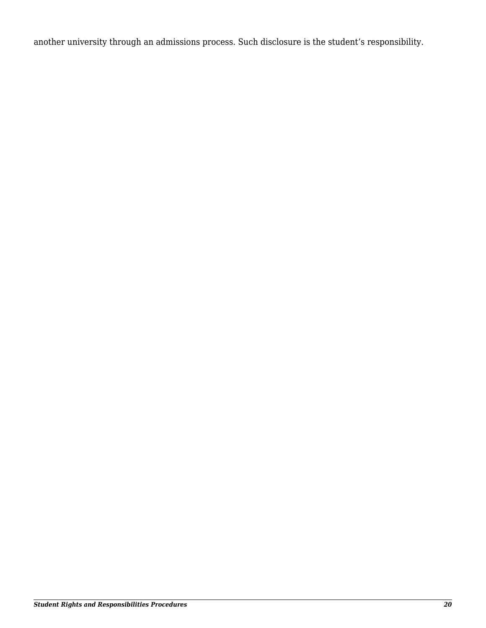another university through an admissions process. Such disclosure is the student's responsibility.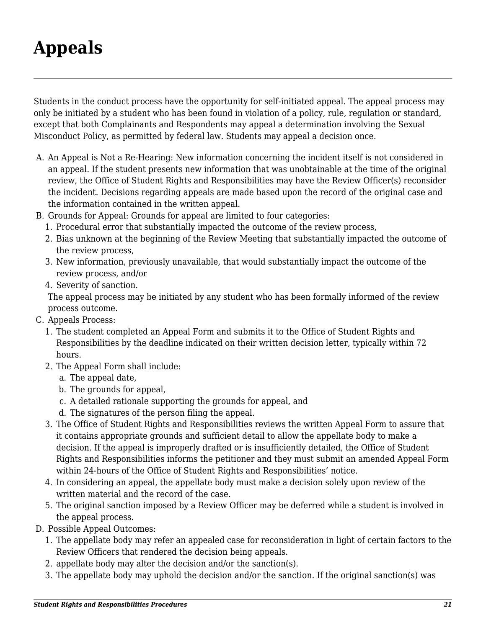## <span id="page-22-0"></span>**Appeals**

Students in the conduct process have the opportunity for self-initiated appeal. The appeal process may only be initiated by a student who has been found in violation of a policy, rule, regulation or standard, except that both Complainants and Respondents may appeal a determination involving the Sexual Misconduct Policy, as permitted by federal law. Students may appeal a decision once.

- A. An Appeal is Not a Re-Hearing: New information concerning the incident itself is not considered in an appeal. If the student presents new information that was unobtainable at the time of the original review, the Office of Student Rights and Responsibilities may have the Review Officer(s) reconsider the incident. Decisions regarding appeals are made based upon the record of the original case and the information contained in the written appeal.
- B. Grounds for Appeal: Grounds for appeal are limited to four categories:
	- 1. Procedural error that substantially impacted the outcome of the review process,
	- 2. Bias unknown at the beginning of the Review Meeting that substantially impacted the outcome of the review process,
	- 3. New information, previously unavailable, that would substantially impact the outcome of the review process, and/or
	- 4. Severity of sanction.

The appeal process may be initiated by any student who has been formally informed of the review process outcome.

- C. Appeals Process:
	- 1. The student completed an Appeal Form and submits it to the Office of Student Rights and Responsibilities by the deadline indicated on their written decision letter, typically within 72 hours.
	- 2. The Appeal Form shall include:
		- a. The appeal date,
		- b. The grounds for appeal,
		- c. A detailed rationale supporting the grounds for appeal, and
		- d. The signatures of the person filing the appeal.
	- 3. The Office of Student Rights and Responsibilities reviews the written Appeal Form to assure that it contains appropriate grounds and sufficient detail to allow the appellate body to make a decision. If the appeal is improperly drafted or is insufficiently detailed, the Office of Student Rights and Responsibilities informs the petitioner and they must submit an amended Appeal Form within 24-hours of the Office of Student Rights and Responsibilities' notice.
	- 4. In considering an appeal, the appellate body must make a decision solely upon review of the written material and the record of the case.
	- 5. The original sanction imposed by a Review Officer may be deferred while a student is involved in the appeal process.
- D. Possible Appeal Outcomes:
	- 1. The appellate body may refer an appealed case for reconsideration in light of certain factors to the Review Officers that rendered the decision being appeals.
	- 2. appellate body may alter the decision and/or the sanction(s).
	- 3. The appellate body may uphold the decision and/or the sanction. If the original sanction(s) was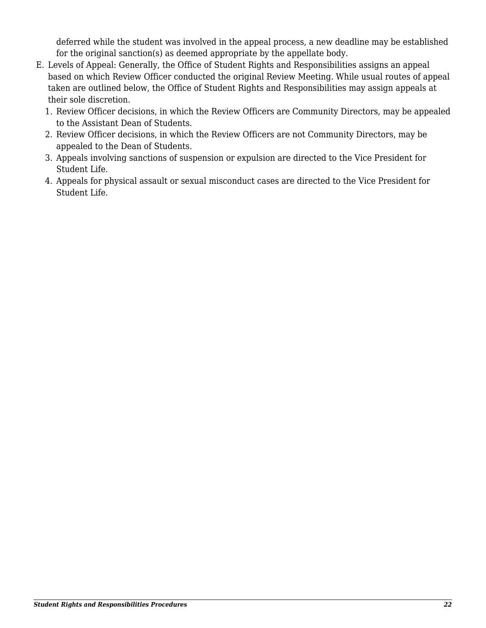deferred while the student was involved in the appeal process, a new deadline may be established for the original sanction(s) as deemed appropriate by the appellate body.

- E. Levels of Appeal: Generally, the Office of Student Rights and Responsibilities assigns an appeal based on which Review Officer conducted the original Review Meeting. While usual routes of appeal taken are outlined below, the Office of Student Rights and Responsibilities may assign appeals at their sole discretion.
	- 1. Review Officer decisions, in which the Review Officers are Community Directors, may be appealed to the Assistant Dean of Students.
	- 2. Review Officer decisions, in which the Review Officers are not Community Directors, may be appealed to the Dean of Students.
	- 3. Appeals involving sanctions of suspension or expulsion are directed to the Vice President for Student Life.
	- 4. Appeals for physical assault or sexual misconduct cases are directed to the Vice President for Student Life.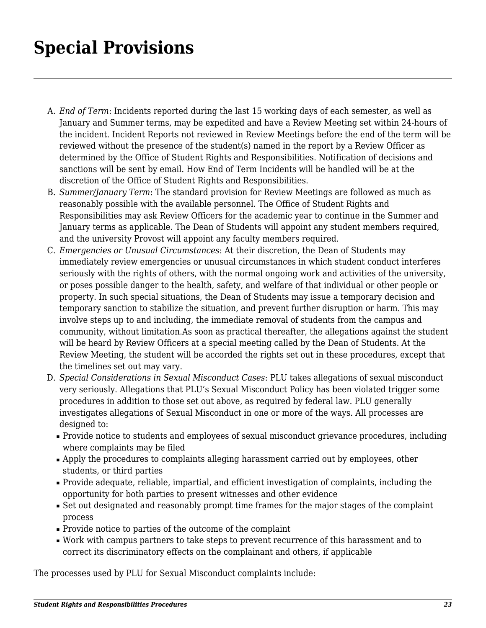### <span id="page-24-0"></span>**Special Provisions**

- A. *End of Term*: Incidents reported during the last 15 working days of each semester, as well as January and Summer terms, may be expedited and have a Review Meeting set within 24-hours of the incident. Incident Reports not reviewed in Review Meetings before the end of the term will be reviewed without the presence of the student(s) named in the report by a Review Officer as determined by the Office of Student Rights and Responsibilities. Notification of decisions and sanctions will be sent by email. How End of Term Incidents will be handled will be at the discretion of the Office of Student Rights and Responsibilities.
- B. *Summer/January Term*: The standard provision for Review Meetings are followed as much as reasonably possible with the available personnel. The Office of Student Rights and Responsibilities may ask Review Officers for the academic year to continue in the Summer and January terms as applicable. The Dean of Students will appoint any student members required, and the university Provost will appoint any faculty members required.
- C. *Emergencies or Unusual Circumstances*: At their discretion, the Dean of Students may immediately review emergencies or unusual circumstances in which student conduct interferes seriously with the rights of others, with the normal ongoing work and activities of the university, or poses possible danger to the health, safety, and welfare of that individual or other people or property. In such special situations, the Dean of Students may issue a temporary decision and temporary sanction to stabilize the situation, and prevent further disruption or harm. This may involve steps up to and including, the immediate removal of students from the campus and community, without limitation.As soon as practical thereafter, the allegations against the student will be heard by Review Officers at a special meeting called by the Dean of Students. At the Review Meeting, the student will be accorded the rights set out in these procedures, except that the timelines set out may vary.
- D. *Special Considerations in Sexual Misconduct Cases*: PLU takes allegations of sexual misconduct very seriously. Allegations that PLU's Sexual Misconduct Policy has been violated trigger some procedures in addition to those set out above, as required by federal law. PLU generally investigates allegations of Sexual Misconduct in one or more of the ways. All processes are designed to:
	- Provide notice to students and employees of sexual misconduct grievance procedures, including where complaints may be filed
	- Apply the procedures to complaints alleging harassment carried out by employees, other students, or third parties
	- Provide adequate, reliable, impartial, and efficient investigation of complaints, including the opportunity for both parties to present witnesses and other evidence
	- Set out designated and reasonably prompt time frames for the major stages of the complaint process
	- Provide notice to parties of the outcome of the complaint
	- Work with campus partners to take steps to prevent recurrence of this harassment and to correct its discriminatory effects on the complainant and others, if applicable

The processes used by PLU for Sexual Misconduct complaints include: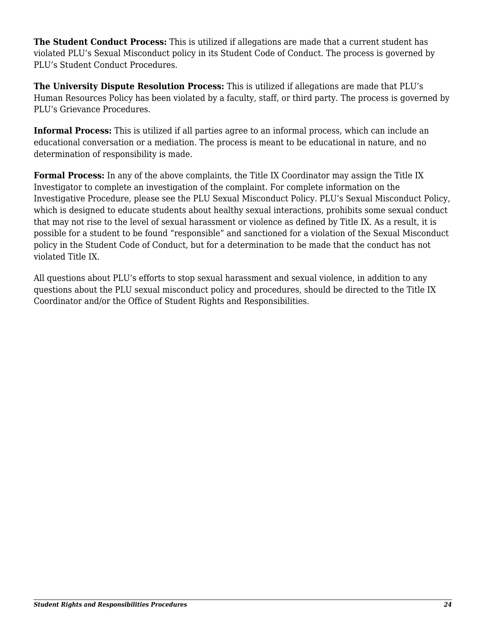**The Student Conduct Process:** This is utilized if allegations are made that a current student has violated PLU's Sexual Misconduct policy in its Student Code of Conduct. The process is governed by PLU's Student Conduct Procedures.

**The University Dispute Resolution Process:** This is utilized if allegations are made that PLU's Human Resources Policy has been violated by a faculty, staff, or third party. The process is governed by PLU's Grievance Procedures.

**Informal Process:** This is utilized if all parties agree to an informal process, which can include an educational conversation or a mediation. The process is meant to be educational in nature, and no determination of responsibility is made.

**Formal Process:** In any of the above complaints, the Title IX Coordinator may assign the Title IX Investigator to complete an investigation of the complaint. For complete information on the Investigative Procedure, please see the PLU Sexual Misconduct Policy. PLU's Sexual Misconduct Policy, which is designed to educate students about healthy sexual interactions, prohibits some sexual conduct that may not rise to the level of sexual harassment or violence as defined by Title IX. As a result, it is possible for a student to be found "responsible" and sanctioned for a violation of the Sexual Misconduct policy in the Student Code of Conduct, but for a determination to be made that the conduct has not violated Title IX.

All questions about PLU's efforts to stop sexual harassment and sexual violence, in addition to any questions about the PLU sexual misconduct policy and procedures, should be directed to the Title IX Coordinator and/or the Office of Student Rights and Responsibilities.